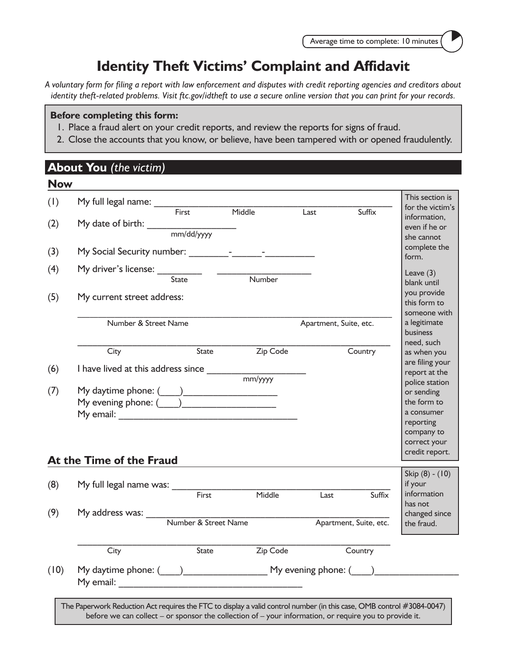# **Identity Theft Victims' Complaint and Affidavit**

*A voluntary form for filing a report with law enforcement and disputes with credit reporting agencies and creditors about identity theft-related problems. Visit ftc.gov/idtheft to use a secure online version that you can print for your records.*

#### **Before completing this form:**

- 1. Place a fraud alert on your credit reports, and review the reports for signs of fraud.
- 2. Close the accounts that you know, or believe, have been tampered with or opened fraudulently.

#### **About You** *(the victim)*

**Now 2014** 

| IVOW |                                                                                                                                     |              |                                  |                        |                        |                                     |
|------|-------------------------------------------------------------------------------------------------------------------------------------|--------------|----------------------------------|------------------------|------------------------|-------------------------------------|
| (1)  | My full legal name: $\frac{1}{\sqrt{1-\frac{1}{1}}\sqrt{1-\frac{1}{1}}\sqrt{1-\frac{1}{1}}\sqrt{1-\frac{1}{1}}\sqrt{1-\frac{1}{1}}$ |              |                                  |                        |                        | This section is<br>for the victim's |
|      |                                                                                                                                     |              | Middle                           | Last                   | Suffix                 | information,                        |
| (2)  |                                                                                                                                     |              |                                  |                        |                        | even if he or                       |
|      |                                                                                                                                     |              |                                  |                        |                        | she cannot                          |
| (3)  |                                                                                                                                     |              |                                  |                        |                        | complete the                        |
|      |                                                                                                                                     |              |                                  |                        |                        | form.                               |
| (4)  | My driver's license: __________                                                                                                     |              |                                  |                        |                        | Leave $(3)$                         |
|      |                                                                                                                                     | <b>State</b> | Number                           |                        |                        | blank until                         |
| (5)  | My current street address:                                                                                                          |              |                                  |                        |                        | you provide                         |
|      |                                                                                                                                     |              |                                  |                        |                        | this form to                        |
|      |                                                                                                                                     |              |                                  |                        |                        | someone with                        |
|      | Number & Street Name                                                                                                                |              |                                  | Apartment, Suite, etc. |                        | a legitimate                        |
|      |                                                                                                                                     |              |                                  |                        |                        | <b>business</b>                     |
|      | City                                                                                                                                | State        | Zip Code                         |                        | Country                | need, such<br>as when you           |
|      |                                                                                                                                     |              |                                  |                        |                        | are filing your                     |
| (6)  | I have lived at this address since ___________                                                                                      |              |                                  |                        |                        | report at the                       |
|      |                                                                                                                                     |              | $\frac{1}{\text{mm}/\text{yyy}}$ |                        |                        | police station                      |
| (7)  |                                                                                                                                     |              |                                  |                        |                        | or sending                          |
|      |                                                                                                                                     |              |                                  |                        |                        | the form to                         |
|      |                                                                                                                                     |              |                                  |                        |                        | a consumer                          |
|      |                                                                                                                                     |              |                                  |                        |                        | reporting                           |
|      |                                                                                                                                     |              |                                  |                        |                        | company to                          |
|      |                                                                                                                                     |              |                                  |                        |                        | correct your<br>credit report.      |
|      | At the Time of the Fraud                                                                                                            |              |                                  |                        |                        |                                     |
|      |                                                                                                                                     |              |                                  |                        |                        | Skip $(8) - (10)$                   |
| (8)  | My full legal name was: ____                                                                                                        |              |                                  |                        |                        | if your                             |
|      |                                                                                                                                     | First        | Middle                           | Last                   | Suffix                 | information                         |
| (9)  |                                                                                                                                     |              |                                  |                        |                        | has not                             |
|      |                                                                                                                                     |              |                                  |                        | Apartment, Suite, etc. | changed since<br>the fraud.         |
|      |                                                                                                                                     |              |                                  |                        |                        |                                     |
|      | City                                                                                                                                | State        | Zip Code                         |                        | Country                |                                     |
|      |                                                                                                                                     |              |                                  |                        |                        |                                     |
|      |                                                                                                                                     |              |                                  |                        |                        |                                     |
| (10) | My daytime phone: $\qquad \qquad$ My evening phone: $\qquad \qquad$                                                                 |              |                                  |                        |                        |                                     |

before we can collect – or sponsor the collection of – your information, or require you to provide it.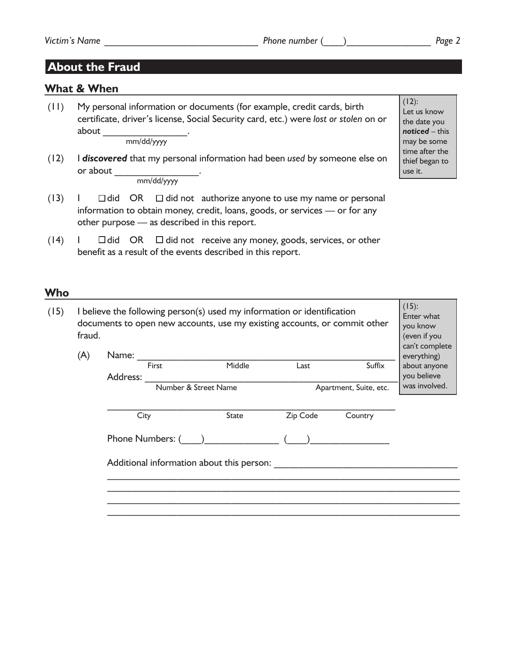$(12)$ : Let us know the date you *noticed* – this may be some time after the thief began to use it.

## **About the Fraud**

#### **What & When**

(11) My personal information or documents (for example, credit cards, birth certificate, driver's license, Social Security card, etc.) were *lost or stolen* on or about

mm/dd/yyyy

- (12) I *discovered* that my personal information had been *used* by someone else on or about mm/dd/yyyy
- $(13)$  I  $\Box$  did OR  $\Box$  did not authorize anyone to use my name or personal information to obtain money, credit, loans, goods, or services — or for any other purpose — as described in this report.
- $(14)$  I  $\Box$  did OR  $\Box$  did not receive any money, goods, services, or other benefit as a result of the events described in this report.

#### **Who**

| (15) | I believe the following person(s) used my information or identification<br>documents to open new accounts, use my existing accounts, or commit other<br>fraud. | (15):<br>Enter what<br>you know<br>(even if you<br>can't complete |                                           |              |          |                        |               |  |
|------|----------------------------------------------------------------------------------------------------------------------------------------------------------------|-------------------------------------------------------------------|-------------------------------------------|--------------|----------|------------------------|---------------|--|
|      | (A)                                                                                                                                                            | Name:                                                             |                                           |              |          |                        |               |  |
|      |                                                                                                                                                                |                                                                   | First                                     | Middle       | Last     | Suffix                 | about anyone  |  |
|      |                                                                                                                                                                | Address:                                                          |                                           |              |          |                        | you believe   |  |
|      |                                                                                                                                                                |                                                                   | Number & Street Name                      |              |          | Apartment, Suite, etc. | was involved. |  |
|      |                                                                                                                                                                |                                                                   |                                           |              |          |                        |               |  |
|      |                                                                                                                                                                | City                                                              |                                           | <b>State</b> | Zip Code | Country                |               |  |
|      |                                                                                                                                                                |                                                                   | Phone Numbers: (                          |              |          |                        |               |  |
|      |                                                                                                                                                                |                                                                   | Additional information about this person: |              |          |                        |               |  |
|      |                                                                                                                                                                |                                                                   |                                           |              |          |                        |               |  |
|      |                                                                                                                                                                |                                                                   |                                           |              |          |                        |               |  |
|      |                                                                                                                                                                |                                                                   |                                           |              |          |                        |               |  |
|      |                                                                                                                                                                |                                                                   |                                           |              |          |                        |               |  |
|      |                                                                                                                                                                |                                                                   |                                           |              |          |                        |               |  |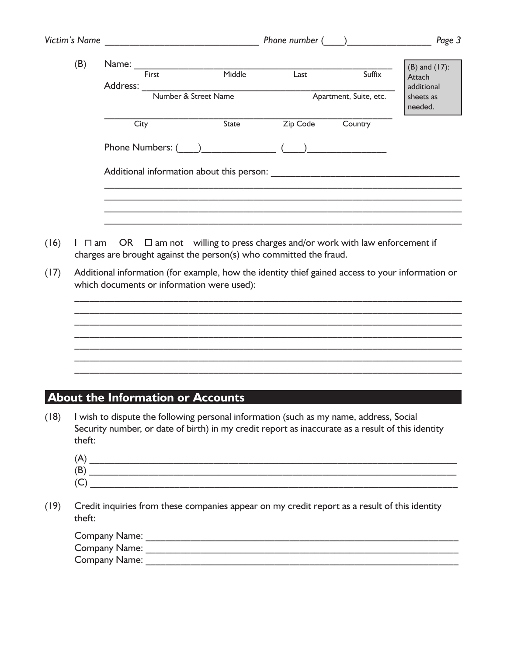|      |        |      |                                                                                                                                                     |          | Phone number ( )       | Page 3               |
|------|--------|------|-----------------------------------------------------------------------------------------------------------------------------------------------------|----------|------------------------|----------------------|
| (B)  |        |      | Name: First Middle Last                                                                                                                             |          |                        | $(B)$ and $(17)$ :   |
|      |        |      |                                                                                                                                                     |          | Suffix                 | Attach<br>additional |
|      |        |      |                                                                                                                                                     |          | Apartment, Suite, etc. | sheets as<br>needed. |
|      |        | City | State                                                                                                                                               | Zip Code | Country                |                      |
|      |        |      |                                                                                                                                                     |          |                        |                      |
|      |        |      |                                                                                                                                                     |          |                        |                      |
|      |        |      |                                                                                                                                                     |          |                        |                      |
|      |        |      |                                                                                                                                                     |          |                        |                      |
|      |        |      |                                                                                                                                                     |          |                        |                      |
| (16) | l □ am |      | OR $\Box$ am not willing to press charges and/or work with law enforcement if<br>charges are brought against the person(s) who committed the fraud. |          |                        |                      |
| (17) |        |      | Additional information (for example, how the identity thief gained access to your information or                                                    |          |                        |                      |
|      |        |      | which documents or information were used):                                                                                                          |          |                        |                      |
|      |        |      |                                                                                                                                                     |          |                        |                      |
|      |        |      |                                                                                                                                                     |          |                        |                      |
|      |        |      |                                                                                                                                                     |          |                        |                      |
|      |        |      |                                                                                                                                                     |          |                        |                      |
|      |        |      |                                                                                                                                                     |          |                        |                      |
|      |        |      |                                                                                                                                                     |          |                        |                      |

(18) I wish to dispute the following personal information (such as my name, address, Social Security number, or date of birth) in my credit report as inaccurate as a result of this identity theft:

| (A         |  |
|------------|--|
| (B)        |  |
| $\epsilon$ |  |

(19) Credit inquiries from these companies appear on my credit report as a result of this identity theft:

| Company Name: |  |
|---------------|--|
| Company Name: |  |
| Company Name: |  |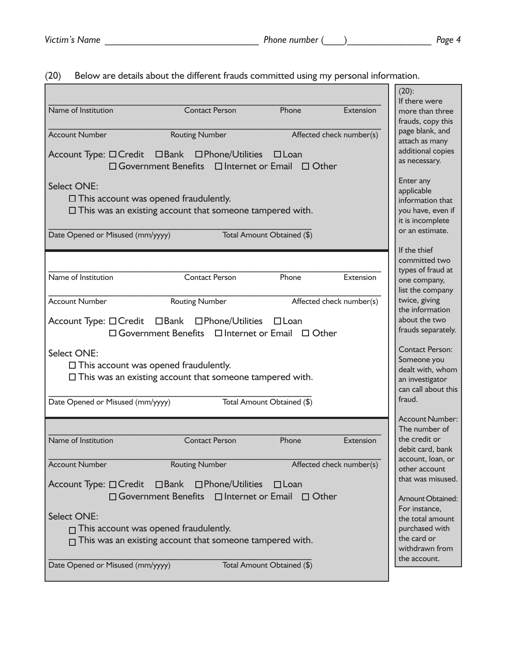|                                                                                                                            | $(20)$ :                                                       |  |
|----------------------------------------------------------------------------------------------------------------------------|----------------------------------------------------------------|--|
| Name of Institution<br><b>Contact Person</b>                                                                               | If there were<br>Phone<br>Extension<br>more than three         |  |
|                                                                                                                            | frauds, copy this                                              |  |
| <b>Account Number</b><br><b>Routing Number</b>                                                                             | page blank, and<br>Affected check number(s)                    |  |
|                                                                                                                            | attach as many                                                 |  |
| Account Type: □ Credit □ Bank □ Phone/Utilities □ Loan                                                                     | additional copies<br>as necessary.                             |  |
| □ Government Benefits □ Internet or Email □ Other                                                                          |                                                                |  |
| <b>Select ONE:</b>                                                                                                         | Enter any                                                      |  |
|                                                                                                                            | applicable                                                     |  |
| $\Box$ This account was opened fraudulently.                                                                               | information that                                               |  |
| $\square$ This was an existing account that someone tampered with.                                                         | you have, even if<br>it is incomplete                          |  |
|                                                                                                                            | or an estimate.                                                |  |
| Date Opened or Misused (mm/yyyy)<br>Total Amount Obtained (\$)                                                             |                                                                |  |
|                                                                                                                            | If the thief                                                   |  |
|                                                                                                                            | committed two<br>types of fraud at                             |  |
| Name of Institution<br><b>Contact Person</b>                                                                               | Phone<br>Extension<br>one company,                             |  |
|                                                                                                                            | list the company                                               |  |
| <b>Account Number</b><br>Routing Number                                                                                    | twice, giving<br>Affected check number(s)                      |  |
|                                                                                                                            | the information<br>about the two                               |  |
| Account Type: □ Credit □ Bank □ Phone/Utilities □ Loan<br>$\Box$ Government Benefits $\Box$ Internet or Email $\Box$ Other | frauds separately.                                             |  |
|                                                                                                                            |                                                                |  |
| Select ONE:                                                                                                                | <b>Contact Person:</b>                                         |  |
| $\Box$ This account was opened fraudulently.                                                                               | Someone you<br>dealt with, whom                                |  |
| $\Box$ This was an existing account that someone tampered with.                                                            | an investigator                                                |  |
|                                                                                                                            | can call about this                                            |  |
| Date Opened or Misused (mm/yyyy)<br>Total Amount Obtained (\$)                                                             | fraud.                                                         |  |
|                                                                                                                            | <b>Account Number:</b>                                         |  |
|                                                                                                                            | The number of                                                  |  |
| Name of Institution<br><b>Contact Person</b>                                                                               | the credit or<br>Phone<br><b>Extension</b>                     |  |
|                                                                                                                            | debit card, bank                                               |  |
| <b>Account Number</b><br><b>Routing Number</b>                                                                             | account, loan, or<br>Affected check number(s)<br>other account |  |
|                                                                                                                            | that was misused.                                              |  |
| Account Type: □ Credit □ Bank □ Phone/Utilities                                                                            | ⊟ Loan                                                         |  |
| □ Government Benefits □ Internet or Email □ Other                                                                          | Amount Obtained:                                               |  |
| <b>Select ONE:</b>                                                                                                         | For instance,                                                  |  |
| $\Box$ This account was opened fraudulently.                                                                               | the total amount<br>purchased with                             |  |
| $\Box$ This was an existing account that someone tampered with.                                                            | the card or                                                    |  |
|                                                                                                                            | withdrawn from                                                 |  |
| Date Opened or Misused (mm/yyyy)<br>Total Amount Obtained (\$)                                                             | the account.                                                   |  |
|                                                                                                                            |                                                                |  |

#### (20) Below are details about the different frauds committed using my personal information.